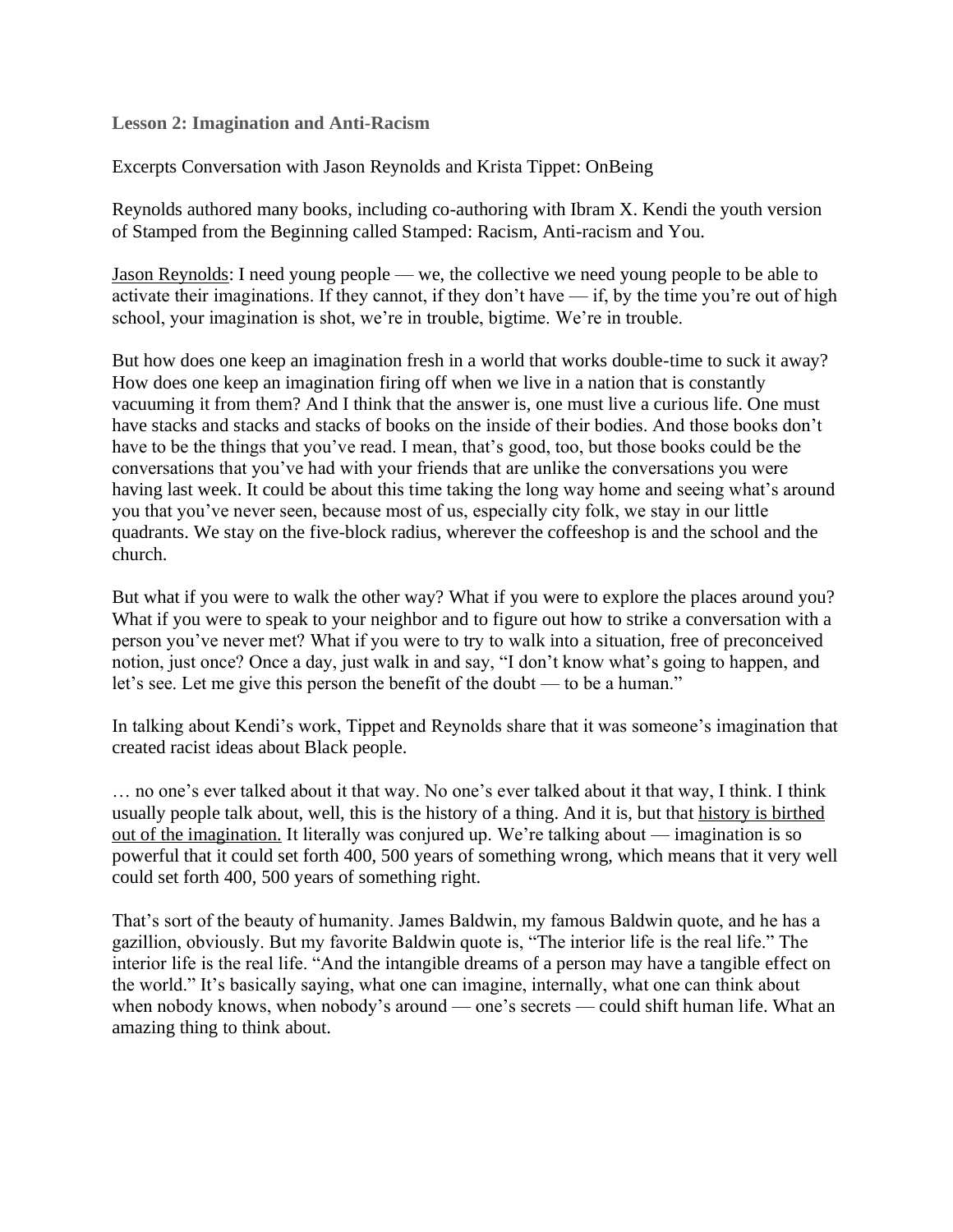**Lesson 2: Imagination and Anti-Racism**

Excerpts Conversation with Jason Reynolds and Krista Tippet: OnBeing

Reynolds authored many books, including co-authoring with Ibram X. Kendi the youth version of Stamped from the Beginning called Stamped: Racism, Anti-racism and You.

Jason Reynolds: I need young people — we, the collective we need young people to be able to activate their imaginations. If they cannot, if they don't have — if, by the time you're out of high school, your imagination is shot, we're in trouble, bigtime. We're in trouble.

But how does one keep an imagination fresh in a world that works double-time to suck it away? How does one keep an imagination firing off when we live in a nation that is constantly vacuuming it from them? And I think that the answer is, one must live a curious life. One must have stacks and stacks and stacks of books on the inside of their bodies. And those books don't have to be the things that you've read. I mean, that's good, too, but those books could be the conversations that you've had with your friends that are unlike the conversations you were having last week. It could be about this time taking the long way home and seeing what's around you that you've never seen, because most of us, especially city folk, we stay in our little quadrants. We stay on the five-block radius, wherever the coffeeshop is and the school and the church.

But what if you were to walk the other way? What if you were to explore the places around you? What if you were to speak to your neighbor and to figure out how to strike a conversation with a person you've never met? What if you were to try to walk into a situation, free of preconceived notion, just once? Once a day, just walk in and say, "I don't know what's going to happen, and let's see. Let me give this person the benefit of the doubt — to be a human."

In talking about Kendi's work, Tippet and Reynolds share that it was someone's imagination that created racist ideas about Black people.

… no one's ever talked about it that way. No one's ever talked about it that way, I think. I think usually people talk about, well, this is the history of a thing. And it is, but that history is birthed out of the imagination. It literally was conjured up. We're talking about — imagination is so powerful that it could set forth 400, 500 years of something wrong, which means that it very well could set forth 400, 500 years of something right.

That's sort of the beauty of humanity. James Baldwin, my famous Baldwin quote, and he has a gazillion, obviously. But my favorite Baldwin quote is, "The interior life is the real life." The interior life is the real life. "And the intangible dreams of a person may have a tangible effect on the world." It's basically saying, what one can imagine, internally, what one can think about when nobody knows, when nobody's around — one's secrets — could shift human life. What an amazing thing to think about.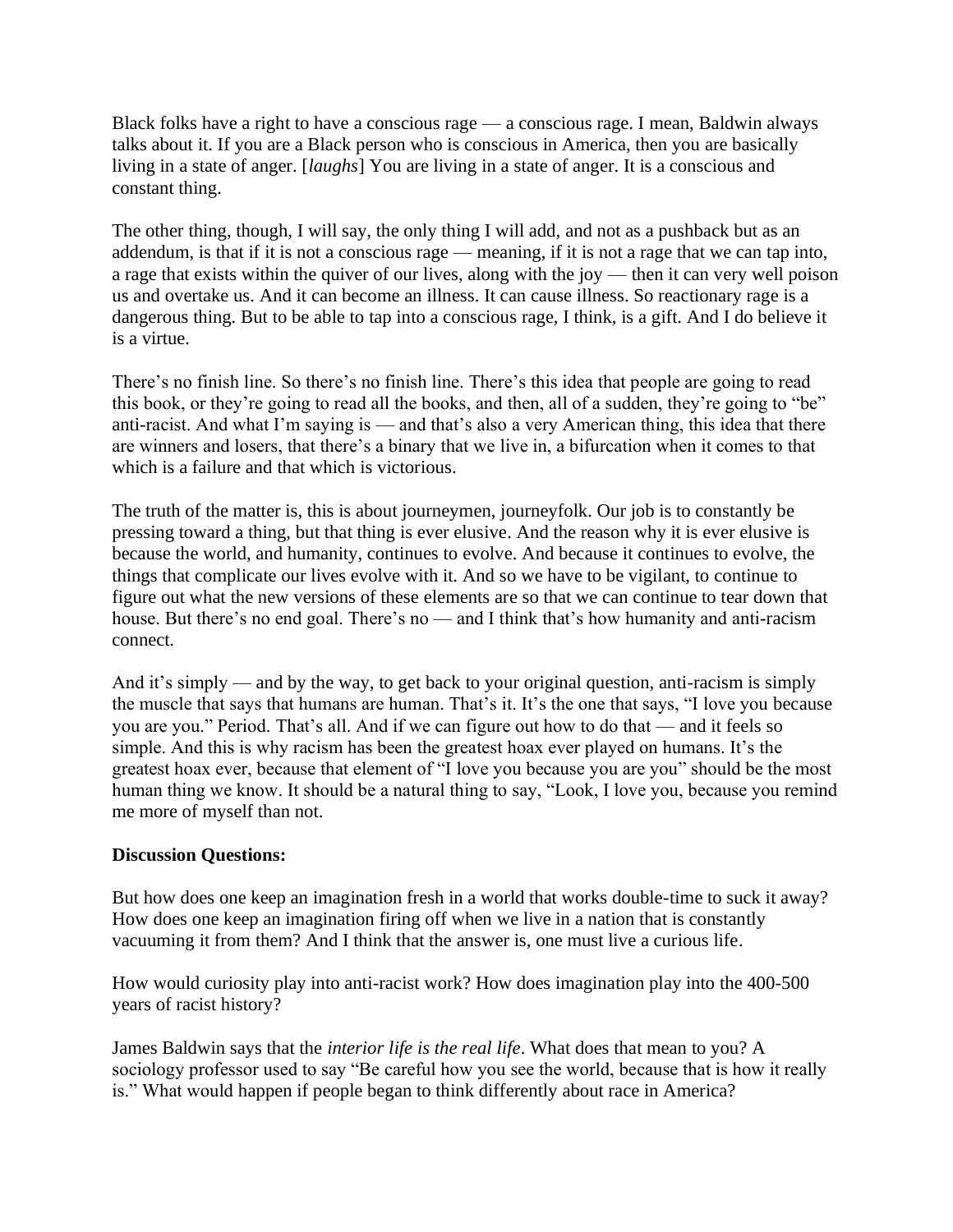Black folks have a right to have a conscious rage — a conscious rage. I mean, Baldwin always talks about it. If you are a Black person who is conscious in America, then you are basically living in a state of anger. [*laughs*] You are living in a state of anger. It is a conscious and constant thing.

The other thing, though, I will say, the only thing I will add, and not as a pushback but as an addendum, is that if it is not a conscious rage — meaning, if it is not a rage that we can tap into, a rage that exists within the quiver of our lives, along with the joy — then it can very well poison us and overtake us. And it can become an illness. It can cause illness. So reactionary rage is a dangerous thing. But to be able to tap into a conscious rage, I think, is a gift. And I do believe it is a virtue.

There's no finish line. So there's no finish line. There's this idea that people are going to read this book, or they're going to read all the books, and then, all of a sudden, they're going to "be" anti-racist. And what I'm saying is — and that's also a very American thing, this idea that there are winners and losers, that there's a binary that we live in, a bifurcation when it comes to that which is a failure and that which is victorious.

The truth of the matter is, this is about journeymen, journeyfolk. Our job is to constantly be pressing toward a thing, but that thing is ever elusive. And the reason why it is ever elusive is because the world, and humanity, continues to evolve. And because it continues to evolve, the things that complicate our lives evolve with it. And so we have to be vigilant, to continue to figure out what the new versions of these elements are so that we can continue to tear down that house. But there's no end goal. There's no — and I think that's how humanity and anti-racism connect.

And it's simply — and by the way, to get back to your original question, anti-racism is simply the muscle that says that humans are human. That's it. It's the one that says, "I love you because you are you." Period. That's all. And if we can figure out how to do that — and it feels so simple. And this is why racism has been the greatest hoax ever played on humans. It's the greatest hoax ever, because that element of "I love you because you are you" should be the most human thing we know. It should be a natural thing to say, "Look, I love you, because you remind me more of myself than not.

## **Discussion Questions:**

But how does one keep an imagination fresh in a world that works double-time to suck it away? How does one keep an imagination firing off when we live in a nation that is constantly vacuuming it from them? And I think that the answer is, one must live a curious life.

How would curiosity play into anti-racist work? How does imagination play into the 400-500 years of racist history?

James Baldwin says that the *interior life is the real life*. What does that mean to you? A sociology professor used to say "Be careful how you see the world, because that is how it really is." What would happen if people began to think differently about race in America?